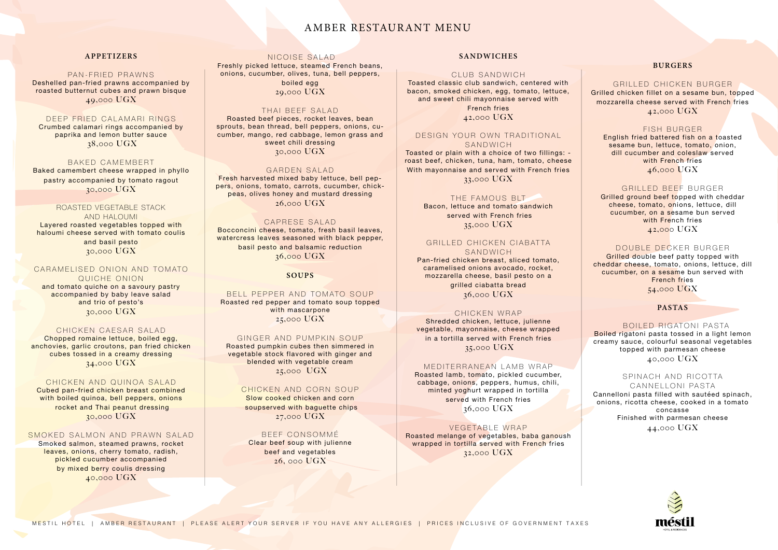### **APPETIZERS**

#### PAN-FRIED PRAWNS

Deshelled pan-fried prawns accompanied by roasted butternut cubes and prawn bisque 49,000 UGX

### DEEP FRIED CALAMARI RINGS

Crumbed calamari rings accompanied by paprika and lemon butter sauce 38,000 UGX

#### BAKED CAMEMBERT Baked camembert cheese wrapped in phyllo

### CARAMELISED ONION AND TOMATO QUICHE ONION

pastry accompanied by tomato ragout 30,000 UGX

# ROASTED VEGETABLE STACK

AND HALOUMI Layered roasted vegetables topped with haloumi cheese served with tomato coulis and basil pesto 30,000 UGX

and tomato quiche on a savoury pastry accompanied by baby leave salad and trio of pesto's 30,000 UGX

#### CHICKEN CAESAR SALAD

Chopped romaine lettuce, boiled egg, anchovies, garlic croutons, pan fried chicken cubes tossed in a creamy dressing 34,000 UGX

#### CHICKEN AND QUINOA SALAD

Cubed pan-fried chicken breast combined with boiled quinoa, bell peppers, onions rocket and Thai peanut dressing 30,000 UGX

#### SMOKED SALMON AND PRAWN SALAD

Smoked salmon, steamed prawns, rocket leaves, onions, cherry tomato, radish, pickled cucumber accompanied by mixed berry coulis dressing 40,000 UGX

#### NICOISE SALAD

Freshly picked lettuce, steamed French beans, onions, cucumber, olives, tuna, bell peppers,

#### DESIGN YOUR OWN TRADITIONAL SANDWICH

boiled egg 29,000 UGX

#### THAI BEEF SALAD

### GRILLED CHICKEN CIABATTA SANDWICH

Roasted beef pieces, rocket leaves, bean sprouts, bean thread, bell peppers, onions, cucumber, mango, red cabbage, lemon grass and sweet chili dressing 30,000 UGX

#### GARDEN SALAD

Fresh harvested mixed baby lettuce, bell peppers, onions, tomato, carrots, cucumber, chickpeas, olives honey and mustard dressing 26,000 UGX

#### CAPRESE SALAD

Bocconcini cheese, tomato, fresh basil leaves, watercress leaves seasoned with black pepper, basil pesto and balsamic reduction 36,000 UGX

### **SOUPS**

#### BELL PEPPER AND TOMATO SOUP

Roasted red pepper and tomato soup topped with mascarpone 25,000 UGX

#### GINGER AND PUMPKIN SOUP

Roasted pumpkin cubes then simmered in vegetable stock flavored with ginger and blended with vegetable cream 25,000 UGX

# CHICKEN AND CORN SOUP

Slow cooked chicken and corn soupserved with baguette chips 27,000 UGX

#### BEEE CONSOMMÉ

SPINACH AND RICOTTA CANNELLONI PASTA Cannelloni pasta filled with sautéed spinach, onions, ricotta cheese, cooked in a tomato concasse Finished with parmesan cheese

Clear beef soup with julienne beef and vegetables 26, 000 UGX

### **SANDWICHES**

#### CLUB SANDWICH

Toasted classic club sandwich, centered with bacon, smoked chicken, egg, tomato, lettuce, and sweet chili mayonnaise served with

> French fries 42,000 UGX

Toasted or plain with a choice of two fillings: roast beef, chicken, tuna, ham, tomato, cheese With mayonnaise and served with French fries 33,000 UGX

#### THE FAMOUS BLT

Bacon, lettuce and tomato sandwich served with French fries 35,000 UGX

Pan-fried chicken breast, sliced tomato, caramelised onions avocado, rocket, mozzarella cheese, basil pesto on a

> grilled ciabatta bread 36,000 UGX

#### CHICKEN WRAP

Shredded chicken, lettuce, julienne vegetable, mayonnaise, cheese wrapped in a tortilla served with French fries 35,000 UGX

#### MEDITERRANEAN LAMB WRAP

Roasted lamb, tomato, pickled cucumber, cabbage, onions, peppers, humus, chili, minted yoghurt wrapped in tortilla served with French fries 36,000 UGX

#### VEGETABLE WRAP

Roasted melange of vegetables, baba ganoush wrapped in tortilla served with French fries 32,000 UGX

### **BURGERS**

### GRILLED CHICKEN BURGER Grilled chicken fillet on a sesame bun, topped mozzarella cheese served with French fries 42,000 UGX

#### FISH BURGER

English fried battered fish on a toasted sesame bun, lettuce, tomato, onion, dill cucumber and coleslaw served with French fries 46,000 UGX

#### GRILLED BEEF BURGER

Grilled ground beef topped with cheddar cheese, tomato, onions, lettuce, dill cucumber, on a sesame bun served with French fries 42,000 UGX

#### DOUBLE DECKER BURGER

Grilled double beef patty topped with cheddar cheese, tomato, onions, lettuce, dill cucumber, on a sesame bun served with French fries

### 54,000 UGX

### **PASTAS**

#### BOILED RIGATONI PASTA

Boiled rigatoni pasta tossed in a light lemon creamy sauce, colourful seasonal vegetables topped with parmesan cheese 40,000 UGX

44,000 UGX



# AMBER RESTAURANT MENU